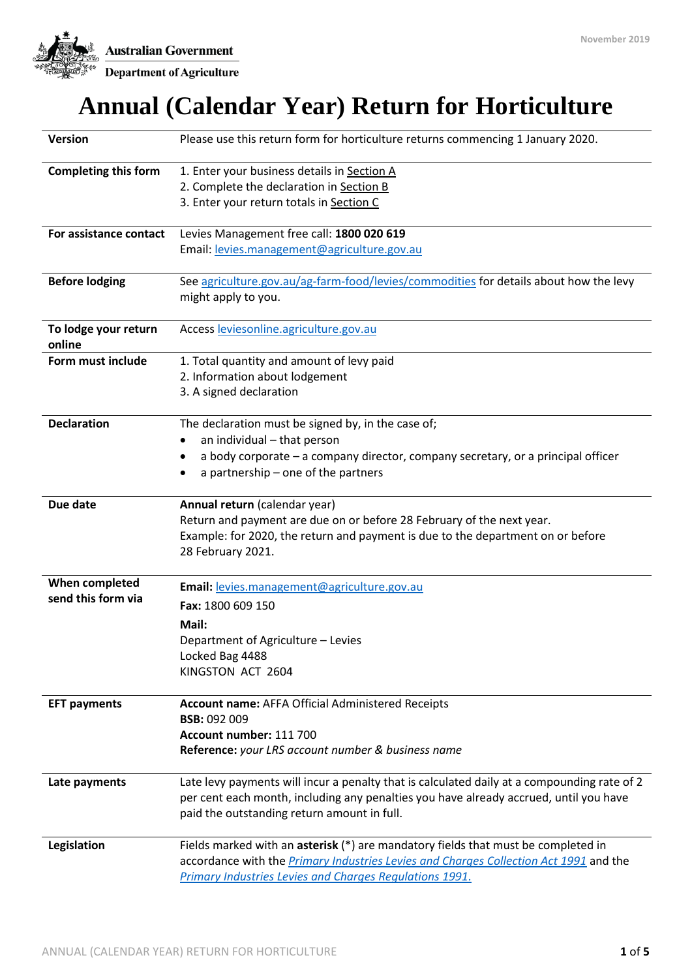**Australian Government** 



Department of Agriculture

# **Annual (Calendar Year) Return for Horticulture**

| <b>Version</b>              | Please use this return form for horticulture returns commencing 1 January 2020.                                              |
|-----------------------------|------------------------------------------------------------------------------------------------------------------------------|
| <b>Completing this form</b> | 1. Enter your business details in Section A                                                                                  |
|                             | 2. Complete the declaration in Section B                                                                                     |
|                             | 3. Enter your return totals in Section C                                                                                     |
|                             |                                                                                                                              |
| For assistance contact      | Levies Management free call: 1800 020 619                                                                                    |
|                             | Email: levies.management@agriculture.gov.au                                                                                  |
|                             |                                                                                                                              |
| <b>Before lodging</b>       | See agriculture.gov.au/ag-farm-food/levies/commodities for details about how the levy                                        |
|                             | might apply to you.                                                                                                          |
|                             |                                                                                                                              |
| To lodge your return        | Access leviesonline.agriculture.gov.au                                                                                       |
| online                      |                                                                                                                              |
| Form must include           | 1. Total quantity and amount of levy paid                                                                                    |
|                             | 2. Information about lodgement                                                                                               |
|                             | 3. A signed declaration                                                                                                      |
| <b>Declaration</b>          | The declaration must be signed by, in the case of;                                                                           |
|                             | an individual - that person                                                                                                  |
|                             |                                                                                                                              |
|                             | a body corporate – a company director, company secretary, or a principal officer<br>٠<br>a partnership - one of the partners |
|                             |                                                                                                                              |
| Due date                    | Annual return (calendar year)                                                                                                |
|                             | Return and payment are due on or before 28 February of the next year.                                                        |
|                             | Example: for 2020, the return and payment is due to the department on or before                                              |
|                             | 28 February 2021.                                                                                                            |
|                             |                                                                                                                              |
| When completed              | Email: levies.management@agriculture.gov.au                                                                                  |
| send this form via          | Fax: 1800 609 150                                                                                                            |
|                             | Mail:                                                                                                                        |
|                             | Department of Agriculture - Levies                                                                                           |
|                             | Locked Bag 4488                                                                                                              |
|                             | KINGSTON ACT 2604                                                                                                            |
|                             |                                                                                                                              |
| <b>EFT payments</b>         | <b>Account name: AFFA Official Administered Receipts</b>                                                                     |
|                             | <b>BSB: 092 009</b>                                                                                                          |
|                             | Account number: 111 700                                                                                                      |
|                             | Reference: your LRS account number & business name                                                                           |
|                             |                                                                                                                              |
| Late payments               | Late levy payments will incur a penalty that is calculated daily at a compounding rate of 2                                  |
|                             | per cent each month, including any penalties you have already accrued, until you have                                        |
|                             | paid the outstanding return amount in full.                                                                                  |
| Legislation                 | Fields marked with an asterisk (*) are mandatory fields that must be completed in                                            |
|                             | accordance with the Primary Industries Levies and Charges Collection Act 1991 and the                                        |
|                             | <b>Primary Industries Levies and Charges Regulations 1991.</b>                                                               |
|                             |                                                                                                                              |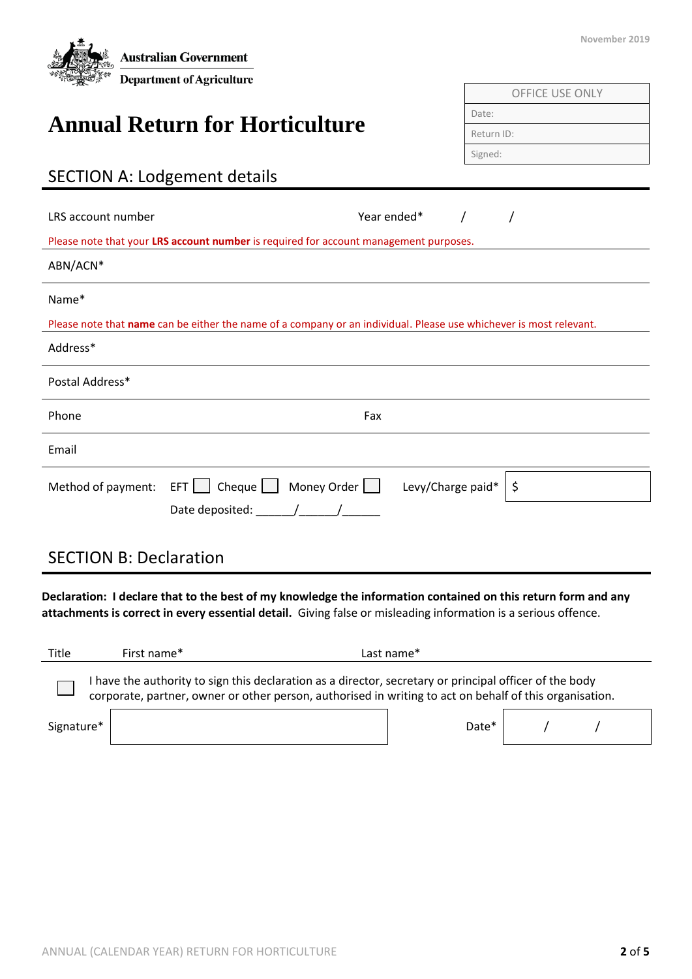| <b>Australian Government</b><br><b>Department of Agriculture</b>                                                                                                                                                                | November 2019          |
|---------------------------------------------------------------------------------------------------------------------------------------------------------------------------------------------------------------------------------|------------------------|
|                                                                                                                                                                                                                                 | <b>OFFICE USE ONLY</b> |
|                                                                                                                                                                                                                                 | Date:                  |
| <b>Annual Return for Horticulture</b>                                                                                                                                                                                           | Return ID:             |
|                                                                                                                                                                                                                                 | Signed:                |
| <b>SECTION A: Lodgement details</b>                                                                                                                                                                                             |                        |
| LRS account number<br>Year ended*<br>$\prime$                                                                                                                                                                                   | $\prime$               |
| Please note that your LRS account number is required for account management purposes.                                                                                                                                           |                        |
| ABN/ACN*                                                                                                                                                                                                                        |                        |
| Name*<br>Please note that name can be either the name of a company or an individual. Please use whichever is most relevant.                                                                                                     |                        |
| Address*                                                                                                                                                                                                                        |                        |
| Postal Address*                                                                                                                                                                                                                 |                        |
| Phone<br>Fax                                                                                                                                                                                                                    |                        |
| Email                                                                                                                                                                                                                           |                        |
| $EFT$   Cheque   Money Order   Levy/Charge paid*<br>Method of payment:                                                                                                                                                          | \$                     |
| Date deposited: ______/______/_____                                                                                                                                                                                             |                        |
| <b>SECTION B: Declaration</b>                                                                                                                                                                                                   |                        |
| Declaration: I declare that to the best of my knowledge the information contained on this return form and any<br>attachments is correct in every essential detail. Giving false or misleading information is a serious offence. |                        |

| Title      | First name* |                                                                                                                                                                                                                    | Last name* |  |  |
|------------|-------------|--------------------------------------------------------------------------------------------------------------------------------------------------------------------------------------------------------------------|------------|--|--|
|            |             | I have the authority to sign this declaration as a director, secretary or principal officer of the body<br>corporate, partner, owner or other person, authorised in writing to act on behalf of this organisation. |            |  |  |
| Signature* |             |                                                                                                                                                                                                                    | Date*      |  |  |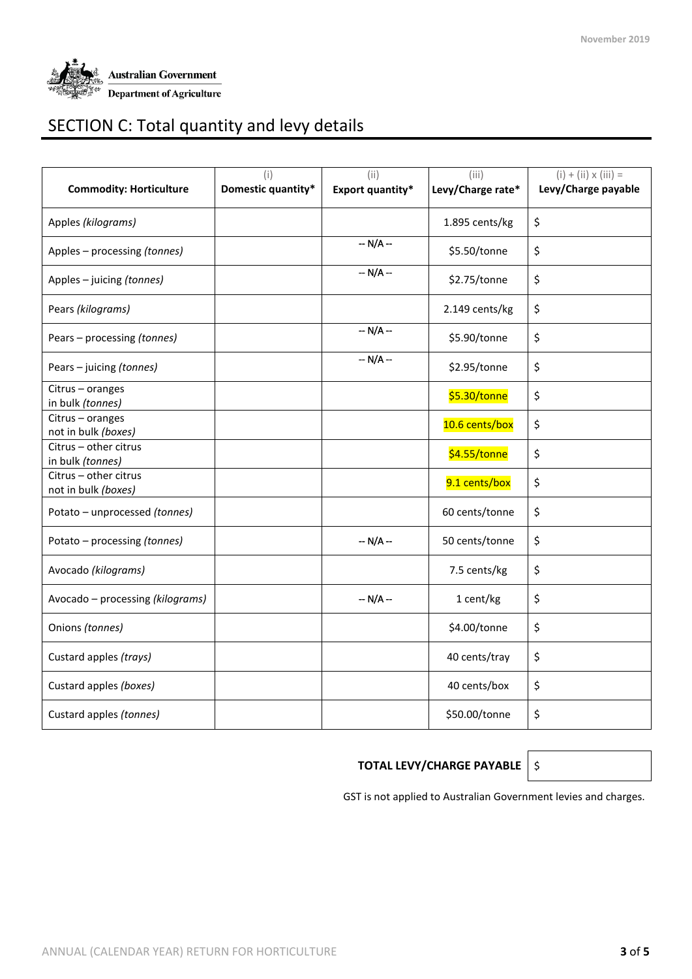

# SECTION C: Total quantity and levy details

| <b>Commodity: Horticulture</b>               | (i)<br>Domestic quantity* | (i)<br><b>Export quantity*</b> | (iii)<br>Levy/Charge rate* | $(i) + (ii) \times (iii) =$<br>Levy/Charge payable |
|----------------------------------------------|---------------------------|--------------------------------|----------------------------|----------------------------------------------------|
| Apples (kilograms)                           |                           |                                | 1.895 cents/kg             | \$                                                 |
| Apples - processing (tonnes)                 |                           | $-N/A -$                       | \$5.50/tonne               | \$                                                 |
| Apples - juicing (tonnes)                    |                           | $- N/A -$                      | \$2.75/tonne               | \$                                                 |
| Pears (kilograms)                            |                           |                                | 2.149 cents/kg             | \$                                                 |
| Pears - processing (tonnes)                  |                           | $-N/A -$                       | \$5.90/tonne               | \$                                                 |
| Pears - juicing (tonnes)                     |                           | $-N/A -$                       | \$2.95/tonne               | \$                                                 |
| Citrus - oranges<br>in bulk (tonnes)         |                           |                                | \$5.30/tonne               | \$                                                 |
| Citrus - oranges<br>not in bulk (boxes)      |                           |                                | 10.6 cents/box             | \$                                                 |
| Citrus - other citrus<br>in bulk (tonnes)    |                           |                                | \$4.55/tonne               | \$                                                 |
| Citrus - other citrus<br>not in bulk (boxes) |                           |                                | 9.1 cents/box              | \$                                                 |
| Potato - unprocessed (tonnes)                |                           |                                | 60 cents/tonne             | \$                                                 |
| Potato - processing (tonnes)                 |                           | $- N/A -$                      | 50 cents/tonne             | \$                                                 |
| Avocado (kilograms)                          |                           |                                | 7.5 cents/kg               | \$                                                 |
| Avocado - processing (kilograms)             |                           | $- N/A -$                      | 1 cent/kg                  | \$                                                 |
| Onions (tonnes)                              |                           |                                | \$4.00/tonne               | \$                                                 |
| Custard apples (trays)                       |                           |                                | 40 cents/tray              | \$                                                 |
| Custard apples (boxes)                       |                           |                                | 40 cents/box               | \$                                                 |
| Custard apples (tonnes)                      |                           |                                | \$50.00/tonne              | \$                                                 |

#### **TOTAL LEVY/CHARGE PAYABLE** \$

GST is not applied to Australian Government levies and charges.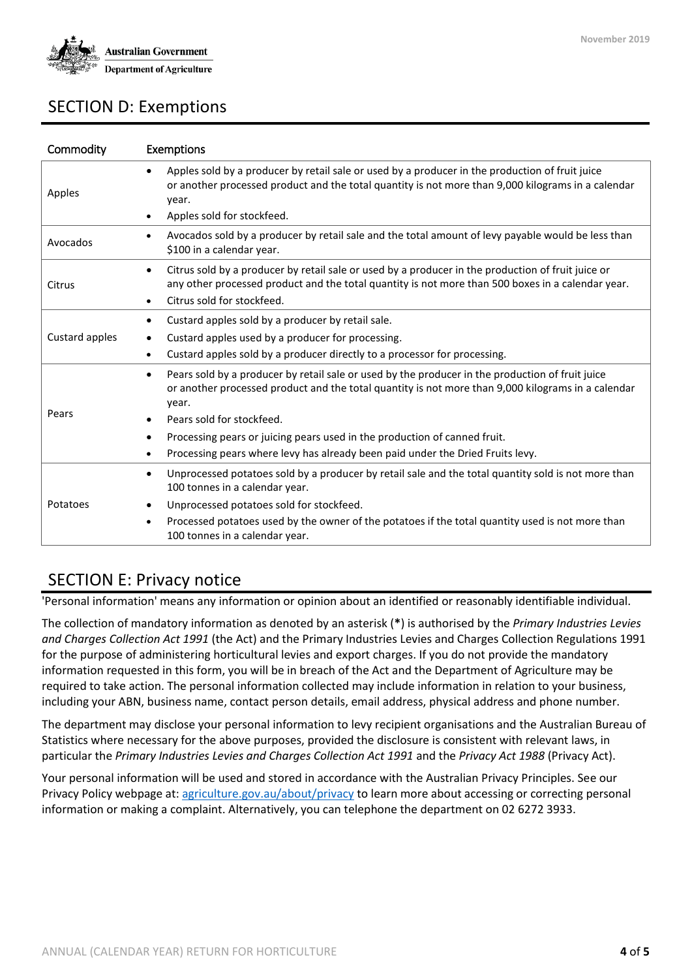

### SECTION D: Exemptions

| Commodity      | Exemptions                                                                                                                                                                                                                                                             |
|----------------|------------------------------------------------------------------------------------------------------------------------------------------------------------------------------------------------------------------------------------------------------------------------|
| Apples         | Apples sold by a producer by retail sale or used by a producer in the production of fruit juice<br>$\bullet$<br>or another processed product and the total quantity is not more than 9,000 kilograms in a calendar<br>year.<br>Apples sold for stockfeed.<br>$\bullet$ |
| Avocados       | Avocados sold by a producer by retail sale and the total amount of levy payable would be less than<br>$\bullet$<br>\$100 in a calendar year.                                                                                                                           |
| Citrus         | Citrus sold by a producer by retail sale or used by a producer in the production of fruit juice or<br>$\bullet$<br>any other processed product and the total quantity is not more than 500 boxes in a calendar year.<br>Citrus sold for stockfeed.<br>$\bullet$        |
| Custard apples | Custard apples sold by a producer by retail sale.<br>٠<br>Custard apples used by a producer for processing.<br>$\bullet$<br>Custard apples sold by a producer directly to a processor for processing.<br>$\bullet$                                                     |
| Pears          | Pears sold by a producer by retail sale or used by the producer in the production of fruit juice<br>$\bullet$<br>or another processed product and the total quantity is not more than 9,000 kilograms in a calendar<br>year.<br>Pears sold for stockfeed.<br>٠         |
|                | Processing pears or juicing pears used in the production of canned fruit.<br>٠<br>Processing pears where levy has already been paid under the Dried Fruits levy.<br>$\bullet$                                                                                          |
|                | Unprocessed potatoes sold by a producer by retail sale and the total quantity sold is not more than<br>$\bullet$<br>100 tonnes in a calendar year.                                                                                                                     |
| Potatoes       | Unprocessed potatoes sold for stockfeed.<br>$\bullet$<br>Processed potatoes used by the owner of the potatoes if the total quantity used is not more than<br>$\bullet$<br>100 tonnes in a calendar year.                                                               |

#### SECTION E: Privacy notice

'Personal information' means any information or opinion about an identified or reasonably identifiable individual.

The collection of mandatory information as denoted by an asterisk (**\***) is authorised by the *Primary Industries Levies and Charges Collection Act 1991* (the Act) and the Primary Industries Levies and Charges Collection Regulations 1991 for the purpose of administering horticultural levies and export charges. If you do not provide the mandatory information requested in this form, you will be in breach of the Act and the Department of Agriculture may be required to take action. The personal information collected may include information in relation to your business, including your ABN, business name, contact person details, email address, physical address and phone number.

The department may disclose your personal information to levy recipient organisations and the Australian Bureau of Statistics where necessary for the above purposes, provided the disclosure is consistent with relevant laws, in particular the *Primary Industries Levies and Charges Collection Act 1991* and the *Privacy Act 1988* (Privacy Act).

Your personal information will be used and stored in accordance with the Australian Privacy Principles. See our Privacy Policy webpage at[: agriculture.gov.au/about/privacy](http://www.agriculture.gov.au/about/privacy) to learn more about accessing or correcting personal information or making a complaint. Alternatively, you can telephone the department on 02 6272 3933.